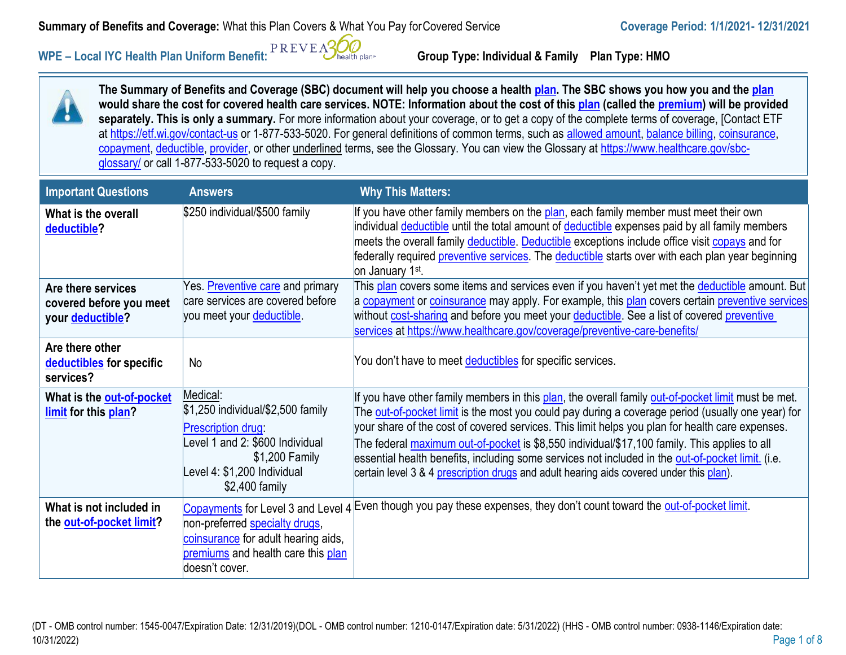**Summary of Benefits and Coverage:** What this Plan Covers & What You Pay for Covered Service **Coverage Period:** 1/1/2021-12/31/2021

WPE – Local IYC Health Plan Uniform Benefit: PREVEASUO **Group Type: Individual & Family Plan Type: HMO** 

**The Summary of Benefits and Coverage (SBC) document will help you choose a health [plan. T](https://www.healthcare.gov/sbc-glossary/#plan)he SBC shows you how you and th[e plan](https://www.healthcare.gov/sbc-glossary/#plan) would share the cost for covered health care services. NOTE: Information about the cost of this [plan](https://www.healthcare.gov/sbc-glossary/#plan) (called th[e premium\)](https://www.healthcare.gov/sbc-glossary/#premium) will be provided separately. This is only a summary.** For more information about your coverage, or to get a copy of the complete terms of coverage, [Contact ETF at<https://etf.wi.gov/contact-us> or 1-877-533-5020. For general definitions of common terms, such as [allowed amount,](https://www.healthcare.gov/sbc-glossary/#allowed-amount) [balance billing,](https://www.healthcare.gov/sbc-glossary/#balance-billing) coinsurance, [copayment,](https://www.healthcare.gov/sbc-glossary/#copayment) [deductible,](https://www.healthcare.gov/sbc-glossary/#deductible) [provider, o](https://www.healthcare.gov/sbc-glossary/#provider)r other underlined terms, see the Glossary. You can view the Glossary at [https://www.healthcare.gov/sbc](https://www.healthcare.gov/sbc-glossary/)[glossary/](https://www.healthcare.gov/sbc-glossary/) or call 1-877-533-5020 to request a copy.

| <b>Important Questions</b>                               | <b>Answers</b>                                                                                                                                                                 | <b>Why This Matters:</b>                                                                                                                                                                                                                                                                                                                                                                                                                                                                                                                                                                                   |
|----------------------------------------------------------|--------------------------------------------------------------------------------------------------------------------------------------------------------------------------------|------------------------------------------------------------------------------------------------------------------------------------------------------------------------------------------------------------------------------------------------------------------------------------------------------------------------------------------------------------------------------------------------------------------------------------------------------------------------------------------------------------------------------------------------------------------------------------------------------------|
| What is the overall<br>deductible?                       | \$250 individual/\$500 family                                                                                                                                                  | If you have other family members on the plan, each family member must meet their own<br>individual deductible until the total amount of deductible expenses paid by all family members<br>meets the overall family deductible. Deductible exceptions include office visit copays and for<br>federally required preventive services. The deductible starts over with each plan year beginning<br>on January 1 <sup>st</sup> .                                                                                                                                                                               |
| Are there services                                       | Yes. <i>Preventive care</i> and primary<br>care services are covered before                                                                                                    | This plan covers some items and services even if you haven't yet met the deductible amount. But                                                                                                                                                                                                                                                                                                                                                                                                                                                                                                            |
| covered before you meet<br>your deductible?              | you meet your deductible.                                                                                                                                                      | a copayment or coinsurance may apply. For example, this plan covers certain preventive services<br>without cost-sharing and before you meet your deductible. See a list of covered preventive<br>services at https://www.healthcare.gov/coverage/preventive-care-benefits/                                                                                                                                                                                                                                                                                                                                 |
| Are there other<br>deductibles for specific<br>services? | <b>No</b>                                                                                                                                                                      | You don't have to meet deductibles for specific services.                                                                                                                                                                                                                                                                                                                                                                                                                                                                                                                                                  |
| What is the out-of-pocket<br>limit for this plan?        | Medical:<br>\$1,250 individual/\$2,500 family<br><b>Prescription drug:</b><br>evel 1 and 2: \$600 Individual<br>\$1,200 Family<br>evel 4: \$1,200 Individual<br>\$2,400 family | If you have other family members in this plan, the overall family out-of-pocket limit must be met.<br>The out-of-pocket limit is the most you could pay during a coverage period (usually one year) for<br>your share of the cost of covered services. This limit helps you plan for health care expenses.<br>The federal maximum out-of-pocket is \$8,550 individual/\$17,100 family. This applies to all<br>essential health benefits, including some services not included in the out-of-pocket limit. (i.e.<br>certain level 3 & 4 prescription drugs and adult hearing aids covered under this plan). |
| What is not included in<br>the out-of-pocket limit?      | Copayments for Level 3 and Level 4<br>non-preferred specialty drugs,<br>coinsurance for adult hearing aids,<br>premiums and health care this plan<br>doesn't cover.            | Even though you pay these expenses, they don't count toward the out-of-pocket limit.                                                                                                                                                                                                                                                                                                                                                                                                                                                                                                                       |

(DT - OMB control number: 1545-0047/Expiration Date: 12/31/2019)(DOL - OMB control number: 1210-0147/Expiration date: 5/31/2022) (HHS - OMB control number: 0938-1146/Expiration date: 10/31/2022) Page 1 of 8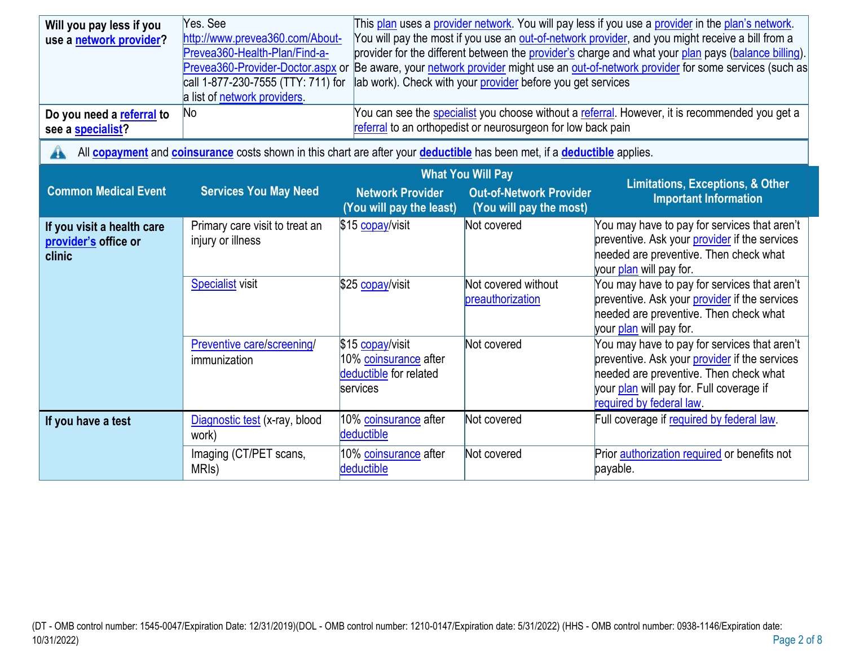| Will you pay less if you<br>use a network provider?          | Yes. See<br>http://www.prevea360.com/About-<br>Prevea360-Health-Plan/Find-a-<br>Prevea360-Provider-Doctor.aspx or<br>call 1-877-230-7555 (TTY: 711) for<br>a list of network providers. |                                                                                 | lab work). Check with your provider before you get services  | This plan uses a provider network. You will pay less if you use a provider in the plan's network.<br>You will pay the most if you use an <b>out-of-network provider</b> , and you might receive a bill from a<br>provider for the different between the provider's charge and what your plan pays (balance billing).<br>Be aware, your network provider might use an out-of-network provider for some services (such as |  |
|--------------------------------------------------------------|-----------------------------------------------------------------------------------------------------------------------------------------------------------------------------------------|---------------------------------------------------------------------------------|--------------------------------------------------------------|-------------------------------------------------------------------------------------------------------------------------------------------------------------------------------------------------------------------------------------------------------------------------------------------------------------------------------------------------------------------------------------------------------------------------|--|
| Do you need a referral to<br>see a specialist?               | N <sub>o</sub>                                                                                                                                                                          |                                                                                 | referral to an orthopedist or neurosurgeon for low back pain | You can see the <b>specialist</b> you choose without a referral. However, it is recommended you get a                                                                                                                                                                                                                                                                                                                   |  |
| A                                                            | All <b>copayment</b> and <b>coinsurance</b> costs shown in this chart are after your <b>deductible</b> has been met, if a <b>deductible</b> applies.                                    |                                                                                 |                                                              |                                                                                                                                                                                                                                                                                                                                                                                                                         |  |
|                                                              | <b>What You Will Pay</b><br><b>Limitations, Exceptions, &amp; Other</b>                                                                                                                 |                                                                                 |                                                              |                                                                                                                                                                                                                                                                                                                                                                                                                         |  |
| <b>Common Medical Event</b>                                  | <b>Services You May Need</b>                                                                                                                                                            | <b>Network Provider</b><br>(You will pay the least)                             | <b>Out-of-Network Provider</b><br>(You will pay the most)    | <b>Important Information</b>                                                                                                                                                                                                                                                                                                                                                                                            |  |
| If you visit a health care<br>provider's office or<br>clinic | Primary care visit to treat an<br>injury or illness                                                                                                                                     | \$15 copay/visit                                                                | Not covered                                                  | You may have to pay for services that aren't<br>preventive. Ask your provider if the services<br>needed are preventive. Then check what<br>your <i>plan</i> will pay for.                                                                                                                                                                                                                                               |  |
|                                                              | <b>Specialist</b> visit                                                                                                                                                                 | \$25 copay/visit                                                                | Not covered without<br>preauthorization                      | You may have to pay for services that aren't<br>preventive. Ask your provider if the services<br>needed are preventive. Then check what<br>your plan will pay for.                                                                                                                                                                                                                                                      |  |
|                                                              | Preventive care/screening/<br>immunization                                                                                                                                              | \$15 copay/visit<br>10% coinsurance after<br>deductible for related<br>services | Not covered                                                  | You may have to pay for services that aren't<br>preventive. Ask your provider if the services<br>needed are preventive. Then check what<br>your plan will pay for. Full coverage if<br>required by federal law.                                                                                                                                                                                                         |  |
| If you have a test                                           | Diagnostic test (x-ray, blood<br>work)                                                                                                                                                  | 10% coinsurance after<br>deductible                                             | Not covered                                                  | Full coverage if required by federal law.                                                                                                                                                                                                                                                                                                                                                                               |  |
|                                                              | Imaging (CT/PET scans,<br>MRI <sub>s</sub> )                                                                                                                                            | 10% coinsurance after<br>deductible                                             | Not covered                                                  | Prior authorization required or benefits not<br>payable.                                                                                                                                                                                                                                                                                                                                                                |  |

(DT - OMB control number: 1545-0047/Expiration Date: 12/31/2019)(DOL - OMB control number: 1210-0147/Expiration date: 5/31/2022) (HHS - OMB control number: 0938-1146/Expiration date: 10/31/2022) Page 2 of 8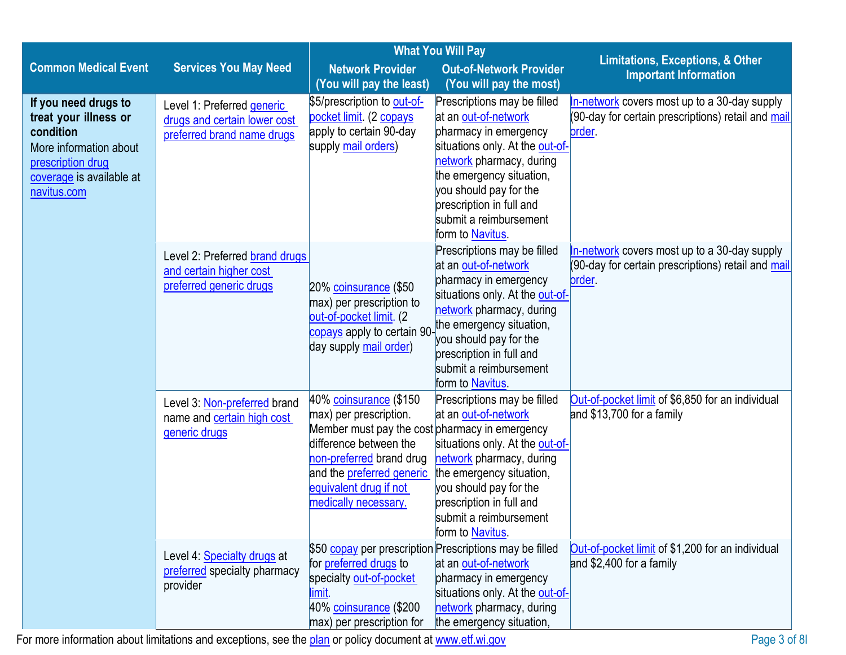|                                                                                                                                                      | <b>What You Will Pay</b>                                                                 |                                                                                                                                                                                                                                         |                                                                                                                                                                                                                                                                             |                                                                                                                    |
|------------------------------------------------------------------------------------------------------------------------------------------------------|------------------------------------------------------------------------------------------|-----------------------------------------------------------------------------------------------------------------------------------------------------------------------------------------------------------------------------------------|-----------------------------------------------------------------------------------------------------------------------------------------------------------------------------------------------------------------------------------------------------------------------------|--------------------------------------------------------------------------------------------------------------------|
| <b>Common Medical Event</b>                                                                                                                          | <b>Services You May Need</b>                                                             | <b>Network Provider</b>                                                                                                                                                                                                                 | <b>Out-of-Network Provider</b>                                                                                                                                                                                                                                              | <b>Limitations, Exceptions, &amp; Other</b><br><b>Important Information</b>                                        |
|                                                                                                                                                      |                                                                                          | (You will pay the least)                                                                                                                                                                                                                | (You will pay the most)                                                                                                                                                                                                                                                     |                                                                                                                    |
| If you need drugs to<br>treat your illness or<br>condition<br>More information about<br>prescription drug<br>coverage is available at<br>navitus.com | Level 1: Preferred generic<br>drugs and certain lower cost<br>preferred brand name drugs | \$5/prescription to out-of-<br>pocket limit (2 copays<br>apply to certain 90-day<br>supply mail orders)                                                                                                                                 | Prescriptions may be filled<br>at an out-of-network<br>pharmacy in emergency<br>situations only. At the out-of-<br>network pharmacy, during<br>the emergency situation,<br>you should pay for the<br>prescription in full and<br>submit a reimbursement<br>form to Navitus. | In-network covers most up to a 30-day supply<br>(90-day for certain prescriptions) retail and mail<br><u>order</u> |
|                                                                                                                                                      | Level 2: Preferred brand drugs<br>and certain higher cost<br>preferred generic drugs     | 20% coinsurance (\$50<br>max) per prescription to<br>out-of-pocket limit. (2<br><mark>copays</mark> apply to certain 90-<br>day supply mail order)                                                                                      | Prescriptions may be filled<br>at an out-of-network<br>pharmacy in emergency<br>situations only. At the out-of-<br>network pharmacy, during<br>the emergency situation,<br>you should pay for the<br>prescription in full and<br>submit a reimbursement<br>form to Navitus. | In-network covers most up to a 30-day supply<br>(90-day for certain prescriptions) retail and mail<br>order.       |
|                                                                                                                                                      | Level 3: Non-preferred brand<br>name and certain high cost<br>generic drugs              | 40% coinsurance (\$150<br>max) per prescription.<br>Member must pay the cost pharmacy in emergency<br>difference between the<br>non-preferred brand drug<br>and the preferred generic<br>equivalent drug if not<br>medically necessary. | Prescriptions may be filled<br>at an out-of-network<br>situations only. At the out-of-<br>network pharmacy, during<br>the emergency situation,<br>you should pay for the<br>prescription in full and<br>submit a reimbursement<br>form to Navitus.                          | Out-of-pocket limit of \$6,850 for an individual<br>and \$13,700 for a family                                      |
|                                                                                                                                                      | Level 4: Specialty drugs at<br>preferred specialty pharmacy<br>provider                  | for preferred drugs to<br>specialty out-of-pocket<br>limit.<br>40% coinsurance (\$200<br>max) per prescription for                                                                                                                      | \$50 copay per prescription Prescriptions may be filled<br>at an out-of-network<br>pharmacy in emergency<br>situations only. At the out-of-<br>network pharmacy, during<br>the emergency situation,                                                                         | Out-of-pocket limit of \$1,200 for an individual<br>and \$2,400 for a family                                       |

For more information about limitations and exceptions, see the [plan](https://www.healthcare.gov/sbc-glossary/#plan) or policy document a[t www.etf.wi.gov](http://www.etf.wi.gov/) Page 3 of 8l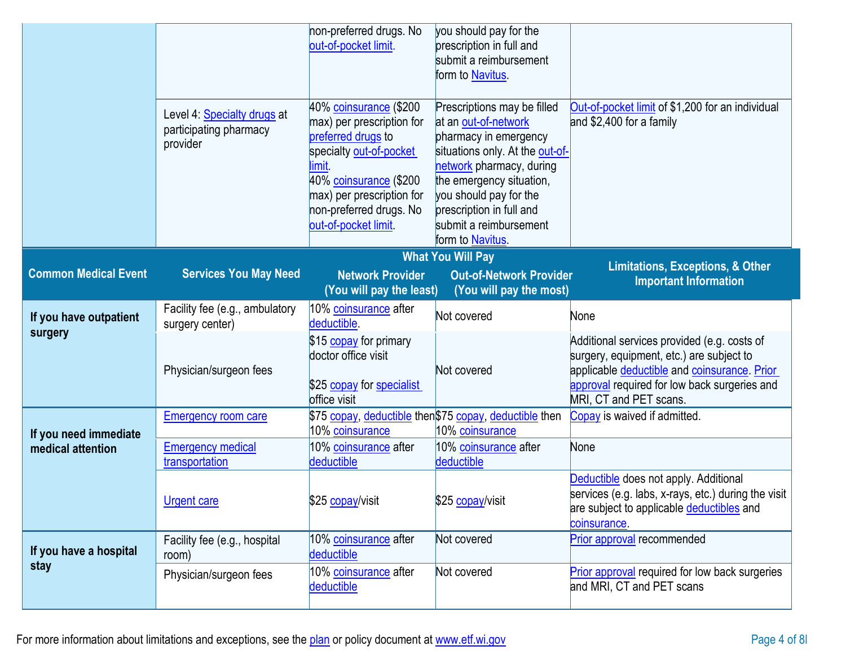|                             | Level 4: Specialty drugs at<br>participating pharmacy<br>provider       | non-preferred drugs. No<br>out-of-pocket limit.<br>40% coinsurance (\$200<br>max) per prescription for<br>preferred drugs to<br>specialty out-of-pocket<br>limit.<br>40% coinsurance (\$200<br>max) per prescription for<br>non-preferred drugs. No<br>out-of-pocket limit. | you should pay for the<br>prescription in full and<br>submit a reimbursement<br>form to Navitus.<br>Prescriptions may be filled<br>at an out-of-network<br>pharmacy in emergency<br>situations only. At the out-of-<br>network pharmacy, during<br>the emergency situation,<br>you should pay for the<br>prescription in full and<br>submit a reimbursement<br>form to Navitus. | Out-of-pocket limit of \$1,200 for an individual<br>and \$2,400 for a family                                                                                                                                      |
|-----------------------------|-------------------------------------------------------------------------|-----------------------------------------------------------------------------------------------------------------------------------------------------------------------------------------------------------------------------------------------------------------------------|---------------------------------------------------------------------------------------------------------------------------------------------------------------------------------------------------------------------------------------------------------------------------------------------------------------------------------------------------------------------------------|-------------------------------------------------------------------------------------------------------------------------------------------------------------------------------------------------------------------|
|                             | <b>What You Will Pay</b><br><b>Limitations, Exceptions, &amp; Other</b> |                                                                                                                                                                                                                                                                             |                                                                                                                                                                                                                                                                                                                                                                                 |                                                                                                                                                                                                                   |
| <b>Common Medical Event</b> | <b>Services You May Need</b>                                            | <b>Network Provider</b><br>(You will pay the least)                                                                                                                                                                                                                         | <b>Out-of-Network Provider</b><br>(You will pay the most)                                                                                                                                                                                                                                                                                                                       | <b>Important Information</b>                                                                                                                                                                                      |
| If you have outpatient      | Facility fee (e.g., ambulatory<br>surgery center)                       | 10% coinsurance after<br>deductible.                                                                                                                                                                                                                                        | Not covered                                                                                                                                                                                                                                                                                                                                                                     | None                                                                                                                                                                                                              |
| surgery                     | Physician/surgeon fees                                                  | \$15 copay for primary<br>doctor office visit<br>\$25 copay for specialist<br>office visit                                                                                                                                                                                  | Not covered                                                                                                                                                                                                                                                                                                                                                                     | Additional services provided (e.g. costs of<br>surgery, equipment, etc.) are subject to<br>applicable deductible and coinsurance. Prior<br>approval required for low back surgeries and<br>MRI, CT and PET scans. |
| If you need immediate       | <b>Emergency room care</b>                                              | 10% coinsurance                                                                                                                                                                                                                                                             | \$75 copay, deductible then\$75 copay, deductible then<br>10% coinsurance                                                                                                                                                                                                                                                                                                       | Copay is waived if admitted.                                                                                                                                                                                      |
| medical attention           | <b>Emergency medical</b><br>transportation                              | 10% coinsurance after<br>deductible                                                                                                                                                                                                                                         | 10% coinsurance after<br>deductible                                                                                                                                                                                                                                                                                                                                             | None                                                                                                                                                                                                              |
|                             | <b>Urgent care</b>                                                      | \$25 copay/visit                                                                                                                                                                                                                                                            | \$25 copay/visit                                                                                                                                                                                                                                                                                                                                                                | Deductible does not apply. Additional<br>services (e.g. labs, x-rays, etc.) during the visit<br>are subject to applicable deductibles and<br>coinsurance.                                                         |
| If you have a hospital      | Facility fee (e.g., hospital<br>room)                                   | 10% coinsurance after<br>deductible                                                                                                                                                                                                                                         | Not covered                                                                                                                                                                                                                                                                                                                                                                     | Prior approval recommended                                                                                                                                                                                        |
| stay                        | Physician/surgeon fees                                                  | 10% coinsurance after<br>deductible                                                                                                                                                                                                                                         | Not covered                                                                                                                                                                                                                                                                                                                                                                     | Prior approval required for low back surgeries<br>and MRI, CT and PET scans                                                                                                                                       |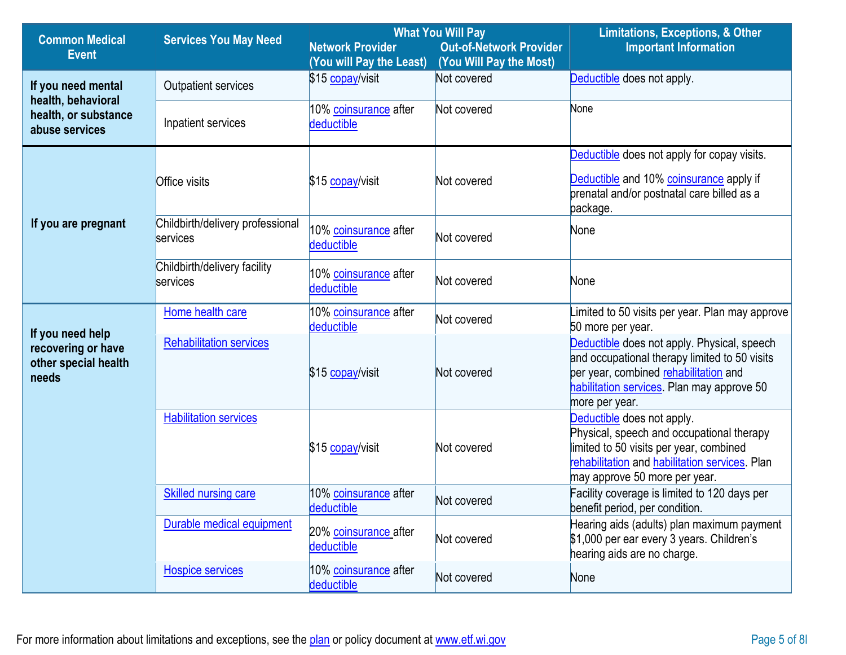| <b>Common Medical</b>                                                   | <b>Services You May Need</b>                 | <b>What You Will Pay</b>                            |                                                           | <b>Limitations, Exceptions, &amp; Other</b>                                                                                                                                                           |  |
|-------------------------------------------------------------------------|----------------------------------------------|-----------------------------------------------------|-----------------------------------------------------------|-------------------------------------------------------------------------------------------------------------------------------------------------------------------------------------------------------|--|
| <b>Event</b>                                                            |                                              | <b>Network Provider</b><br>(You will Pay the Least) | <b>Out-of-Network Provider</b><br>(You Will Pay the Most) | <b>Important Information</b>                                                                                                                                                                          |  |
| If you need mental<br>health, behavioral                                | Outpatient services                          | \$15 copay/visit                                    | Not covered                                               | Deductible does not apply.                                                                                                                                                                            |  |
| health, or substance<br>abuse services                                  | Inpatient services                           | 10% coinsurance after<br>deductible                 | Not covered                                               | None                                                                                                                                                                                                  |  |
|                                                                         |                                              |                                                     |                                                           | Deductible does not apply for copay visits.                                                                                                                                                           |  |
|                                                                         | <b>Office visits</b>                         | \$15 copay/visit                                    | Not covered                                               | Deductible and 10% coinsurance apply if<br>prenatal and/or postnatal care billed as a<br>package.                                                                                                     |  |
| If you are pregnant                                                     | Childbirth/delivery professional<br>services | 10% coinsurance after<br>deductible                 | Not covered                                               | None                                                                                                                                                                                                  |  |
|                                                                         | Childbirth/delivery facility<br>services     | 10% coinsurance after<br>deductible                 | Not covered                                               | None                                                                                                                                                                                                  |  |
| If you need help<br>recovering or have<br>other special health<br>needs | Home health care                             | 10% coinsurance after<br>deductible                 | Not covered                                               | imited to 50 visits per year. Plan may approve<br>50 more per year.                                                                                                                                   |  |
|                                                                         | <b>Rehabilitation services</b>               | \$15 copay/visit                                    | Not covered                                               | Deductible does not apply. Physical, speech<br>and occupational therapy limited to 50 visits<br>per year, combined rehabilitation and<br>habilitation services. Plan may approve 50<br>more per year. |  |
|                                                                         | <b>Habilitation services</b>                 | \$15 copay/visit                                    | Not covered                                               | Deductible does not apply.<br>Physical, speech and occupational therapy<br>limited to 50 visits per year, combined<br>rehabilitation and habilitation services. Plan<br>may approve 50 more per year. |  |
|                                                                         | <b>Skilled nursing care</b>                  | 10% coinsurance after<br>deductible                 | Not covered                                               | Facility coverage is limited to 120 days per<br>benefit period, per condition.                                                                                                                        |  |
|                                                                         | Durable medical equipment                    | 20% coinsurance after<br>deductible                 | Not covered                                               | Hearing aids (adults) plan maximum payment<br>\$1,000 per ear every 3 years. Children's<br>hearing aids are no charge.                                                                                |  |
|                                                                         | <b>Hospice services</b>                      | 10% coinsurance after<br>deductible                 | Not covered                                               | None                                                                                                                                                                                                  |  |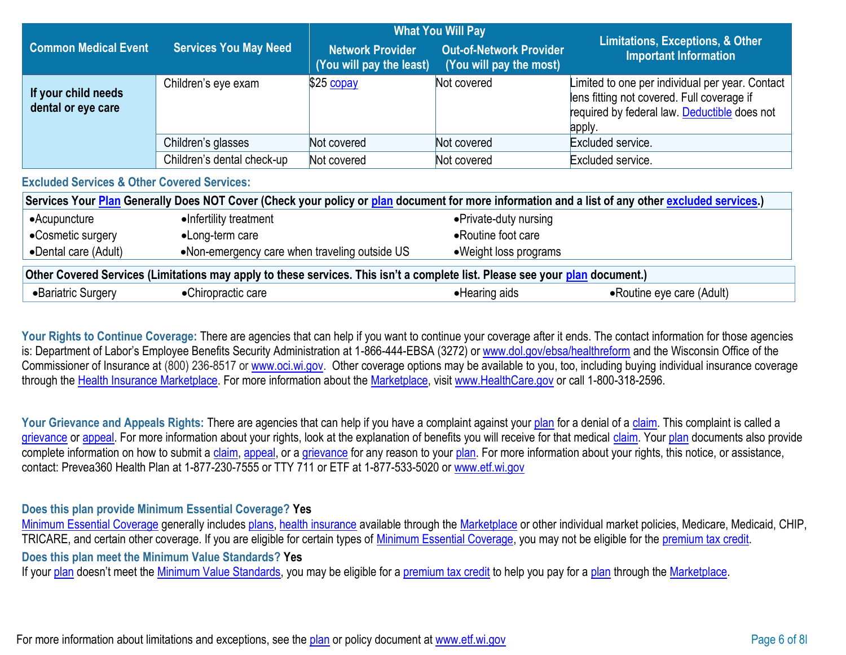|                                                                                                                                                  |                                               | <b>Limitations, Exceptions, &amp; Other</b>         |                                                           |                                                                                                                                                         |
|--------------------------------------------------------------------------------------------------------------------------------------------------|-----------------------------------------------|-----------------------------------------------------|-----------------------------------------------------------|---------------------------------------------------------------------------------------------------------------------------------------------------------|
| <b>Common Medical Event</b>                                                                                                                      | <b>Services You May Need</b>                  | <b>Network Provider</b><br>(You will pay the least) | <b>Out-of-Network Provider</b><br>(You will pay the most) | <b>Important Information</b>                                                                                                                            |
| If your child needs<br>dental or eye care                                                                                                        | Children's eye exam                           | $$25$ copay                                         | Not covered                                               | Limited to one per individual per year. Contact<br>lens fitting not covered. Full coverage if<br>required by federal law. Deductible does not<br>apply. |
|                                                                                                                                                  | Children's glasses                            | Not covered                                         | Not covered                                               | Excluded service.                                                                                                                                       |
|                                                                                                                                                  | Children's dental check-up                    | Not covered                                         | Not covered                                               | Excluded service.                                                                                                                                       |
| <b>Excluded Services &amp; Other Covered Services:</b>                                                                                           |                                               |                                                     |                                                           |                                                                                                                                                         |
| Services Your Plan Generally Does NOT Cover (Check your policy or plan document for more information and a list of any other excluded services.) |                                               |                                                     |                                                           |                                                                                                                                                         |
| •Acupuncture                                                                                                                                     | •Infertility treatment                        |                                                     | • Private-duty nursing                                    |                                                                                                                                                         |
| •Cosmetic surgery                                                                                                                                | •Long-term care                               |                                                     | • Routine foot care                                       |                                                                                                                                                         |
| •Dental care (Adult)                                                                                                                             | •Non-emergency care when traveling outside US |                                                     | • Weight loss programs                                    |                                                                                                                                                         |
| Other Covered Services (Limitations may apply to these services. This isn't a complete list. Please see your plan document.)                     |                                               |                                                     |                                                           |                                                                                                                                                         |
| •Bariatric Surgery                                                                                                                               | •Chiropractic care                            |                                                     | • Hearing aids                                            | • Routine eye care (Adult)                                                                                                                              |

Your Rights to Continue Coverage: There are agencies that can help if you want to continue your coverage after it ends. The contact information for those agencies is: Department of Labor's Employee Benefits Security Administration at 1-866-444-EBSA (3272) or [www.dol.gov/ebsa/healthreform](http://www.dol.gov/ebsa/healthreform) and the Wisconsin Office of the Commissioner of Insurance at (800) 236-8517 or [www.oci.wi.gov.](http://www.oci.wi.gov/) Other coverage options may be available to you, too, including buying individual insurance coverage through the [Health Insurance](https://www.healthcare.gov/sbc-glossary/#health-insurance) [Marketplace. F](https://www.healthcare.gov/sbc-glossary/#marketplace)or more information about the [Marketplace, v](https://www.healthcare.gov/sbc-glossary/#marketplace)isit [www.HealthCare.gov](http://www.healthcare.gov/) or call 1-800-318-2596.

Your Grievance and Appeals Rights: There are agencies that can help if you have a complaint against your [plan](https://www.healthcare.gov/sbc-glossary/#plan) for a denial of a [claim. T](https://www.healthcare.gov/sbc-glossary/#claim)his complaint is called a [grievance](https://www.healthcare.gov/sbc-glossary/#grievance) or [appeal. F](https://www.healthcare.gov/sbc-glossary/#appeal)or more information about your rights, look at the explanation of benefits you will receive for that medical [claim. Y](https://www.healthcare.gov/sbc-glossary/#claim)our [plan](https://www.healthcare.gov/sbc-glossary/#plan) documents also provide complete information on how to submit a [claim,](https://www.healthcare.gov/sbc-glossary/#claim) [appeal, o](https://www.healthcare.gov/sbc-glossary/#appeal)r a [grievance](https://www.healthcare.gov/sbc-glossary/#grievance) for any reason to your [plan. F](https://www.healthcare.gov/sbc-glossary/#plan)or more information about your rights, this notice, or assistance, contact: Prevea360 Health Plan at 1-877-230-7555 or TTY 711 or ETF at 1-877-533-5020 or [www.etf.wi.gov](http://www.etf.wi.gov/)

## **Does this plan provide Minimum Essential Coverage? Yes**

[Minimum Essential Coverage](https://www.healthcare.gov/sbc-glossary/#minimum-essential-coverage) generally includes [plans,](https://www.healthcare.gov/sbc-glossary/#plan) [health insurance](https://www.healthcare.gov/sbc-glossary/#health-insurance) available through the [Marketplace](https://www.healthcare.gov/sbc-glossary/#marketplace) or other individual market policies, Medicare, Medicaid, CHIP, TRICARE, and certain other coverage. If you are eligible for certain types of [Minimum Essential Coverage, y](https://www.healthcare.gov/sbc-glossary/#minimum-essential-coverage)ou may not be eligible for the [premium tax credit.](https://www.healthcare.gov/sbc-glossary/#premium-tax-credits)

**Does this plan meet the Minimum Value Standards? Yes**

If your [plan](https://www.healthcare.gov/sbc-glossary/#plan) doesn't meet the [Minimum Value Standards, y](https://www.healthcare.gov/sbc-glossary/#minimum-value-standard)ou may be eligible for a [premium tax credit](https://www.healthcare.gov/sbc-glossary/#premium-tax-credits) to help you pay for a plan through the [Marketplace.](https://www.healthcare.gov/sbc-glossary/#marketplace)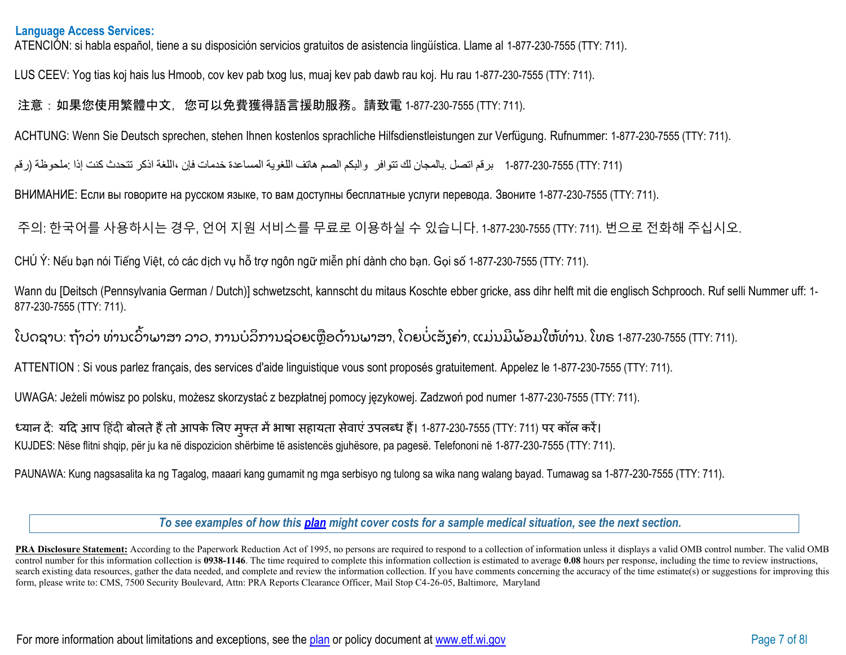## **Language Access Services:**

ATENCIÓN: si habla español, tiene a su disposición servicios gratuitos de asistencia lingüística. Llame al 1-877-230-7555 (TTY: 711).

LUS CEEV: Yog tias koj hais lus Hmoob, cov kev pab txog lus, muaj kev pab dawb rau koj. Hu rau 1-877-230-7555 (TTY: 711).

## 注意:如果您使用繁體中文,您可以免費獲得語言援助服務。請致電 1-877-230-7555 (TTY: 711).

ACHTUNG: Wenn Sie Deutsch sprechen, stehen Ihnen kostenlos sprachliche Hilfsdienstleistungen zur Verfügung. Rufnummer: 1-877-230-7555 (TTY: 711).

(711 :TTY (1-877-230-7555 برقم اتصل .بالمجان لك تتوافر والبكم الصم ھاتف اللغویة المساعدة خدمات فإن ،اللغة اذكر تتحدث كنت إذا :ملحوظة (رقم

ВНИМАНИЕ: Если вы говорите на русском языке, то вам доступны бесплатные услуги перевода. Звоните 1-877-230-7555 (TTY: 711).

주의: 한국어를 사용하시는 경우, 언어 지원 서비스를 무료로 이용하실 수 있습니다. 1-877-230-7555 (TTY: 711). 번으로 전화해 주십시오.

CHÚ Ý: Nếu bạn nói Tiếng Việt, có các dịch vụ hỗ trợ ngôn ngữ miễn phí dành cho bạn. Gọi số 1-877-230-7555 (TTY: 711).

Wann du [Deitsch (Pennsylvania German / Dutch)] schwetzscht, kannscht du mitaus Koschte ebber gricke, ass dihr helft mit die englisch Schprooch. Ruf selli Nummer uff: 1- 877-230-7555 (TTY: 711).

ໂປດຊາບ: ຖ້າວ່າ ທ່ານເວົ້າພາສາ ລາວ, ການບໍລິການຊ່ວຍເຫຼືອດ້ານພາສາ, ໂດຍບໍ່ເສັງຄ່າ, ແມ່ນມີພ້ອມໃຫ້ທ່ານ. ໂທຣ 1-877-230-7555 (TTY: 711).

ATTENTION : Si vous parlez français, des services d'aide linguistique vous sont proposés gratuitement. Appelez le 1-877-230-7555 (TTY: 711).

UWAGA: Jeżeli mówisz po polsku, możesz skorzystać z bezpłatnej pomocy językowej. Zadzwoń pod numer 1-877-230-7555 (TTY: 711).

ध्यान दें: यदि आप हिंदी बोलते हैं तो आपके लिए मुफ्त में भाषा सहायता सेवाएं उपलब्ध हैं। 1-877-230-7555 (TTY: 711) पर कॉल करें। KUJDES: Nëse flitni shqip, për ju ka në dispozicion shërbime të asistencës gjuhësore, pa pagesë. Telefononi në 1-877-230-7555 (TTY: 711).

PAUNAWA: Kung nagsasalita ka ng Tagalog, maaari kang gumamit ng mga serbisyo ng tulong sa wika nang walang bayad. Tumawag sa 1-877-230-7555 (TTY: 711).

*To see examples of how this [plan](https://www.healthcare.gov/sbc-glossary/#plan) might cover costs for a sample medical situation, see the next section.*

**PRA Disclosure Statement:** According to the Paperwork Reduction Act of 1995, no persons are required to respond to a collection of information unless it displays a valid OMB control number. The valid OMB control number for this information collection is **0938-1146**. The time required to complete this information collection is estimated to average **0.08** hours per response, including the time to review instructions, search existing data resources, gather the data needed, and complete and review the information collection. If you have comments concerning the accuracy of the time estimate(s) or suggestions for improving this form, please write to: CMS, 7500 Security Boulevard, Attn: PRA Reports Clearance Officer, Mail Stop C4-26-05, Baltimore, Maryland